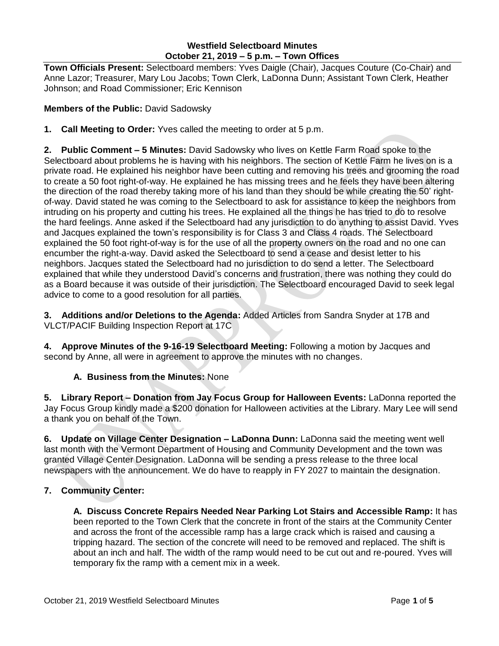### **Westfield Selectboard Minutes October 21, 2019 – 5 p.m. – Town Offices**

**Town Officials Present:** Selectboard members: Yves Daigle (Chair), Jacques Couture (Co-Chair) and Anne Lazor; Treasurer, Mary Lou Jacobs; Town Clerk, LaDonna Dunn; Assistant Town Clerk, Heather Johnson; and Road Commissioner; Eric Kennison

### **Members of the Public:** David Sadowsky

**1. Call Meeting to Order:** Yves called the meeting to order at 5 p.m.

**2. Public Comment – 5 Minutes:** David Sadowsky who lives on Kettle Farm Road spoke to the Selectboard about problems he is having with his neighbors. The section of Kettle Farm he lives on is a private road. He explained his neighbor have been cutting and removing his trees and grooming the road to create a 50 foot right-of-way. He explained he has missing trees and he feels they have been altering the direction of the road thereby taking more of his land than they should be while creating the 50' rightof-way. David stated he was coming to the Selectboard to ask for assistance to keep the neighbors from intruding on his property and cutting his trees. He explained all the things he has tried to do to resolve the hard feelings. Anne asked if the Selectboard had any jurisdiction to do anything to assist David. Yves and Jacques explained the town's responsibility is for Class 3 and Class 4 roads. The Selectboard explained the 50 foot right-of-way is for the use of all the property owners on the road and no one can encumber the right-a-way. David asked the Selectboard to send a cease and desist letter to his neighbors. Jacques stated the Selectboard had no jurisdiction to do send a letter. The Selectboard explained that while they understood David's concerns and frustration, there was nothing they could do as a Board because it was outside of their jurisdiction. The Selectboard encouraged David to seek legal advice to come to a good resolution for all parties.

**3. Additions and/or Deletions to the Agenda:** Added Articles from Sandra Snyder at 17B and VLCT/PACIF Building Inspection Report at 17C

**4. Approve Minutes of the 9-16-19 Selectboard Meeting:** Following a motion by Jacques and second by Anne, all were in agreement to approve the minutes with no changes.

# **A. Business from the Minutes:** None

**5. Library Report – Donation from Jay Focus Group for Halloween Events:** LaDonna reported the Jay Focus Group kindly made a \$200 donation for Halloween activities at the Library. Mary Lee will send a thank you on behalf of the Town.

**6. Update on Village Center Designation – LaDonna Dunn:** LaDonna said the meeting went well last month with the Vermont Department of Housing and Community Development and the town was granted Village Center Designation. LaDonna will be sending a press release to the three local newspapers with the announcement. We do have to reapply in FY 2027 to maintain the designation.

# **7. Community Center:**

**A. Discuss Concrete Repairs Needed Near Parking Lot Stairs and Accessible Ramp:** It has been reported to the Town Clerk that the concrete in front of the stairs at the Community Center and across the front of the accessible ramp has a large crack which is raised and causing a tripping hazard. The section of the concrete will need to be removed and replaced. The shift is about an inch and half. The width of the ramp would need to be cut out and re-poured. Yves will temporary fix the ramp with a cement mix in a week.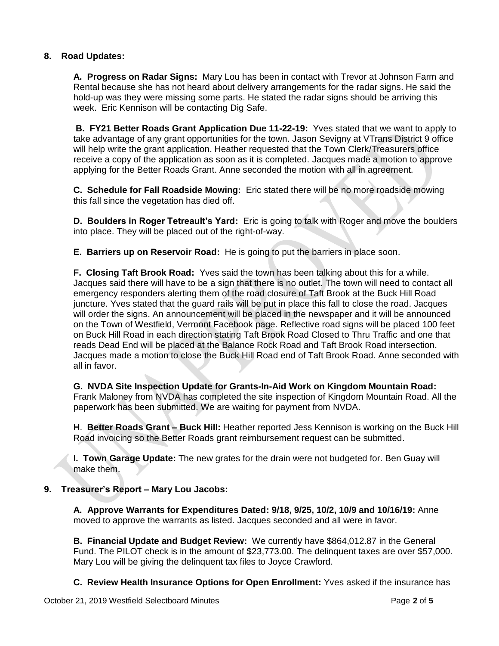## **8. Road Updates:**

**A. Progress on Radar Signs:** Mary Lou has been in contact with Trevor at Johnson Farm and Rental because she has not heard about delivery arrangements for the radar signs. He said the hold-up was they were missing some parts. He stated the radar signs should be arriving this week. Eric Kennison will be contacting Dig Safe.

**B. FY21 Better Roads Grant Application Due 11-22-19:** Yves stated that we want to apply to take advantage of any grant opportunities for the town. Jason Sevigny at VTrans District 9 office will help write the grant application. Heather requested that the Town Clerk/Treasurers office receive a copy of the application as soon as it is completed. Jacques made a motion to approve applying for the Better Roads Grant. Anne seconded the motion with all in agreement.

**C. Schedule for Fall Roadside Mowing:** Eric stated there will be no more roadside mowing this fall since the vegetation has died off.

**D. Boulders in Roger Tetreault's Yard:** Eric is going to talk with Roger and move the boulders into place. They will be placed out of the right-of-way.

**E. Barriers up on Reservoir Road:** He is going to put the barriers in place soon.

**F. Closing Taft Brook Road:** Yves said the town has been talking about this for a while. Jacques said there will have to be a sign that there is no outlet. The town will need to contact all emergency responders alerting them of the road closure of Taft Brook at the Buck Hill Road juncture. Yves stated that the guard rails will be put in place this fall to close the road. Jacques will order the signs. An announcement will be placed in the newspaper and it will be announced on the Town of Westfield, Vermont Facebook page. Reflective road signs will be placed 100 feet on Buck Hill Road in each direction stating Taft Brook Road Closed to Thru Traffic and one that reads Dead End will be placed at the Balance Rock Road and Taft Brook Road intersection. Jacques made a motion to close the Buck Hill Road end of Taft Brook Road. Anne seconded with all in favor.

**G. NVDA Site Inspection Update for Grants-In-Aid Work on Kingdom Mountain Road:** Frank Maloney from NVDA has completed the site inspection of Kingdom Mountain Road. All the paperwork has been submitted. We are waiting for payment from NVDA.

**H**. **Better Roads Grant – Buck Hill:** Heather reported Jess Kennison is working on the Buck Hill Road invoicing so the Better Roads grant reimbursement request can be submitted.

**I. Town Garage Update:** The new grates for the drain were not budgeted for. Ben Guay will make them.

#### **9. Treasurer's Report – Mary Lou Jacobs:**

**A. Approve Warrants for Expenditures Dated: 9/18, 9/25, 10/2, 10/9 and 10/16/19:** Anne moved to approve the warrants as listed. Jacques seconded and all were in favor.

**B. Financial Update and Budget Review:** We currently have \$864,012.87 in the General Fund. The PILOT check is in the amount of \$23,773.00. The delinquent taxes are over \$57,000. Mary Lou will be giving the delinquent tax files to Joyce Crawford.

**C. Review Health Insurance Options for Open Enrollment:** Yves asked if the insurance has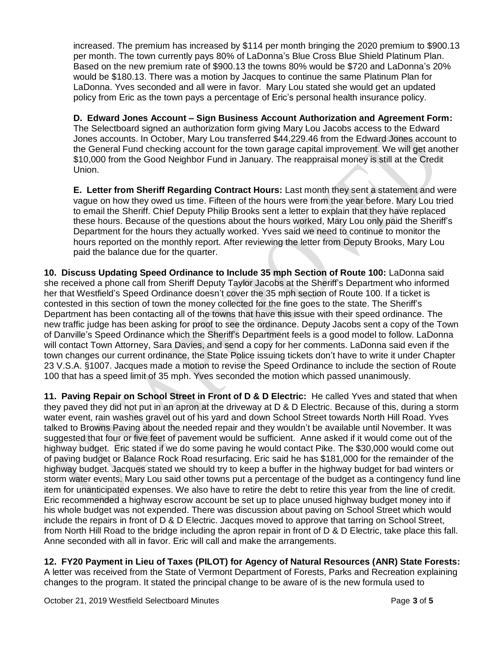increased. The premium has increased by \$114 per month bringing the 2020 premium to \$900.13 per month. The town currently pays 80% of LaDonna's Blue Cross Blue Shield Platinum Plan. Based on the new premium rate of \$900.13 the towns 80% would be \$720 and LaDonna's 20% would be \$180.13. There was a motion by Jacques to continue the same Platinum Plan for LaDonna. Yves seconded and all were in favor. Mary Lou stated she would get an updated policy from Eric as the town pays a percentage of Eric's personal health insurance policy.

**D. Edward Jones Account – Sign Business Account Authorization and Agreement Form:**  The Selectboard signed an authorization form giving Mary Lou Jacobs access to the Edward Jones accounts. In October, Mary Lou transferred \$44,229.46 from the Edward Jones account to the General Fund checking account for the town garage capital improvement. We will get another \$10,000 from the Good Neighbor Fund in January. The reappraisal money is still at the Credit Union.

**E. Letter from Sheriff Regarding Contract Hours:** Last month they sent a statement and were vague on how they owed us time. Fifteen of the hours were from the year before. Mary Lou tried to email the Sheriff. Chief Deputy Philip Brooks sent a letter to explain that they have replaced these hours. Because of the questions about the hours worked, Mary Lou only paid the Sheriff's Department for the hours they actually worked. Yves said we need to continue to monitor the hours reported on the monthly report. After reviewing the letter from Deputy Brooks, Mary Lou paid the balance due for the quarter.

**10. Discuss Updating Speed Ordinance to Include 35 mph Section of Route 100:** LaDonna said she received a phone call from Sheriff Deputy Taylor Jacobs at the Sheriff's Department who informed her that Westfield's Speed Ordinance doesn't cover the 35 mph section of Route 100. If a ticket is contested in this section of town the money collected for the fine goes to the state. The Sheriff's Department has been contacting all of the towns that have this issue with their speed ordinance. The new traffic judge has been asking for proof to see the ordinance. Deputy Jacobs sent a copy of the Town of Danville's Speed Ordinance which the Sheriff's Department feels is a good model to follow. LaDonna will contact Town Attorney, Sara Davies, and send a copy for her comments. LaDonna said even if the town changes our current ordinance, the State Police issuing tickets don't have to write it under Chapter 23 V.S.A. §1007. Jacques made a motion to revise the Speed Ordinance to include the section of Route 100 that has a speed limit of 35 mph. Yves seconded the motion which passed unanimously.

**11. Paving Repair on School Street in Front of D & D Electric:** He called Yves and stated that when they paved they did not put in an apron at the driveway at D & D Electric. Because of this, during a storm water event, rain washes gravel out of his yard and down School Street towards North Hill Road. Yves talked to Browns Paving about the needed repair and they wouldn't be available until November. It was suggested that four or five feet of pavement would be sufficient. Anne asked if it would come out of the highway budget. Eric stated if we do some paving he would contact Pike. The \$30,000 would come out of paving budget or Balance Rock Road resurfacing. Eric said he has \$181,000 for the remainder of the highway budget. Jacques stated we should try to keep a buffer in the highway budget for bad winters or storm water events. Mary Lou said other towns put a percentage of the budget as a contingency fund line item for unanticipated expenses. We also have to retire the debt to retire this year from the line of credit. Eric recommended a highway escrow account be set up to place unused highway budget money into if his whole budget was not expended. There was discussion about paving on School Street which would include the repairs in front of D & D Electric. Jacques moved to approve that tarring on School Street, from North Hill Road to the bridge including the apron repair in front of D & D Electric, take place this fall. Anne seconded with all in favor. Eric will call and make the arrangements.

# **12. FY20 Payment in Lieu of Taxes (PILOT) for Agency of Natural Resources (ANR) State Forests:**

A letter was received from the State of Vermont Department of Forests, Parks and Recreation explaining changes to the program. It stated the principal change to be aware of is the new formula used to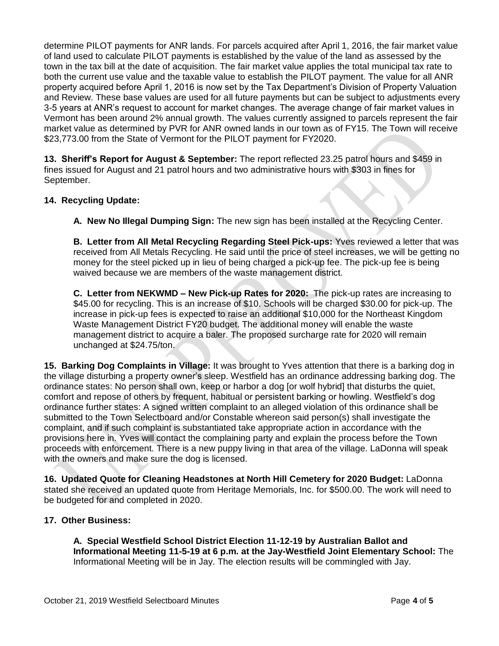determine PILOT payments for ANR lands. For parcels acquired after April 1, 2016, the fair market value of land used to calculate PILOT payments is established by the value of the land as assessed by the town in the tax bill at the date of acquisition. The fair market value applies the total municipal tax rate to both the current use value and the taxable value to establish the PILOT payment. The value for all ANR property acquired before April 1, 2016 is now set by the Tax Department's Division of Property Valuation and Review. These base values are used for all future payments but can be subject to adjustments every 3-5 years at ANR's request to account for market changes. The average change of fair market values in Vermont has been around 2% annual growth. The values currently assigned to parcels represent the fair market value as determined by PVR for ANR owned lands in our town as of FY15. The Town will receive \$23,773.00 from the State of Vermont for the PILOT payment for FY2020.

**13. Sheriff's Report for August & September:** The report reflected 23.25 patrol hours and \$459 in fines issued for August and 21 patrol hours and two administrative hours with \$303 in fines for September.

## **14. Recycling Update:**

**A. New No Illegal Dumping Sign:** The new sign has been installed at the Recycling Center.

**B. Letter from All Metal Recycling Regarding Steel Pick-ups:** Yves reviewed a letter that was received from All Metals Recycling. He said until the price of steel increases, we will be getting no money for the steel picked up in lieu of being charged a pick-up fee. The pick-up fee is being waived because we are members of the waste management district.

**C. Letter from NEKWMD – New Pick-up Rates for 2020:** The pick-up rates are increasing to \$45.00 for recycling. This is an increase of \$10. Schools will be charged \$30.00 for pick-up. The increase in pick-up fees is expected to raise an additional \$10,000 for the Northeast Kingdom Waste Management District FY20 budget. The additional money will enable the waste management district to acquire a baler. The proposed surcharge rate for 2020 will remain unchanged at \$24.75/ton.

**15. Barking Dog Complaints in Village:** It was brought to Yves attention that there is a barking dog in the village disturbing a property owner's sleep. Westfield has an ordinance addressing barking dog. The ordinance states: No person shall own, keep or harbor a dog [or wolf hybrid] that disturbs the quiet, comfort and repose of others by frequent, habitual or persistent barking or howling. Westfield's dog ordinance further states: A signed written complaint to an alleged violation of this ordinance shall be submitted to the Town Selectboard and/or Constable whereon said person(s) shall investigate the complaint, and if such complaint is substantiated take appropriate action in accordance with the provisions here in. Yves will contact the complaining party and explain the process before the Town proceeds with enforcement. There is a new puppy living in that area of the village. LaDonna will speak with the owners and make sure the dog is licensed.

**16. Updated Quote for Cleaning Headstones at North Hill Cemetery for 2020 Budget:** LaDonna stated she received an updated quote from Heritage Memorials, Inc. for \$500.00. The work will need to be budgeted for and completed in 2020.

#### **17. Other Business:**

**A. Special Westfield School District Election 11-12-19 by Australian Ballot and Informational Meeting 11-5-19 at 6 p.m. at the Jay-Westfield Joint Elementary School:** The Informational Meeting will be in Jay. The election results will be commingled with Jay.